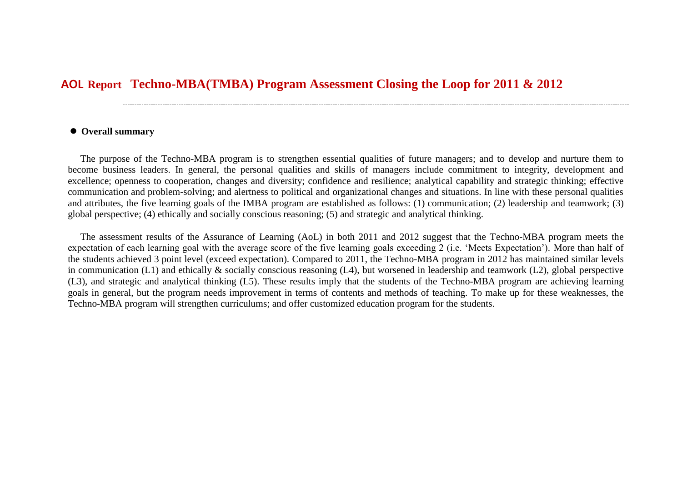## **Techno-MBA(TMBA) Program Assessment Closing the Loop for 2011 & 2012** AOL **Report**

## **Overall summary**

The purpose of the Techno-MBA program is to strengthen essential qualities of future managers; and to develop and nurture them to become business leaders. In general, the personal qualities and skills of managers include commitment to integrity, development and excellence; openness to cooperation, changes and diversity; confidence and resilience; analytical capability and strategic thinking; effective communication and problem-solving; and alertness to political and organizational changes and situations. In line with these personal qualities and attributes, the five learning goals of the IMBA program are established as follows: (1) communication; (2) leadership and teamwork; (3) global perspective; (4) ethically and socially conscious reasoning; (5) and strategic and analytical thinking.

The assessment results of the Assurance of Learning (AoL) in both 2011 and 2012 suggest that the Techno-MBA program meets the expectation of each learning goal with the average score of the five learning goals exceeding 2 (i.e. 'Meets Expectation'). More than half of the students achieved 3 point level (exceed expectation). Compared to 2011, the Techno-MBA program in 2012 has maintained similar levels in communication (L1) and ethically & socially conscious reasoning (L4), but worsened in leadership and teamwork (L2), global perspective (L3), and strategic and analytical thinking (L5). These results imply that the students of the Techno-MBA program are achieving learning goals in general, but the program needs improvement in terms of contents and methods of teaching. To make up for these weaknesses, the Techno-MBA program will strengthen curriculums; and offer customized education program for the students.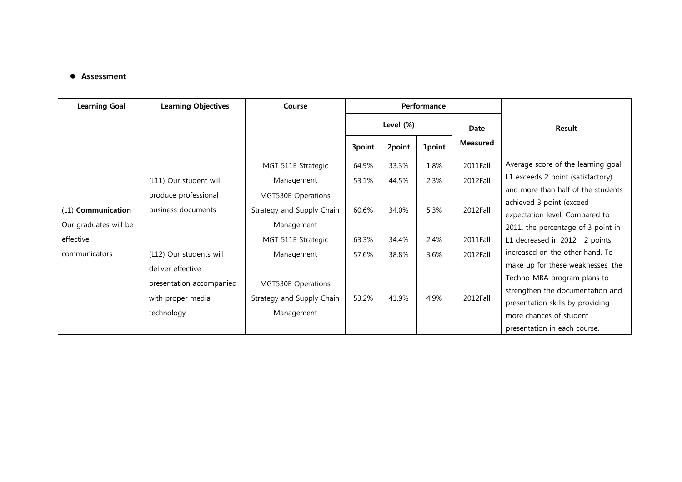## **•** Assessment

| <b>Learning Goal</b>                        | <b>Learning Objectives</b>                                                       | Course                                                        | Performance |        |               |                 |                                                                                                                                                                                                               |
|---------------------------------------------|----------------------------------------------------------------------------------|---------------------------------------------------------------|-------------|--------|---------------|-----------------|---------------------------------------------------------------------------------------------------------------------------------------------------------------------------------------------------------------|
|                                             |                                                                                  |                                                               | Level (%)   |        |               | Date            | <b>Result</b>                                                                                                                                                                                                 |
|                                             |                                                                                  |                                                               | 3point      | 2point | <b>1point</b> | <b>Measured</b> |                                                                                                                                                                                                               |
|                                             |                                                                                  | MGT 511E Strategic                                            | 64.9%       | 33.3%  | 1.8%          | 2011Fall        | Average score of the learning goal                                                                                                                                                                            |
|                                             | (L11) Our student will                                                           | Management                                                    | 53.1%       | 44.5%  | 2.3%          | 2012Fall        | L1 exceeds 2 point (satisfactory)<br>and more than half of the students<br>achieved 3 point (exceed<br>expectation level. Compared to<br>2011, the percentage of 3 point in<br>L1 decreased in 2012. 2 points |
| (L1) Communication<br>Our graduates will be | produce professional<br>business documents                                       | MGT530E Operations<br>Strategy and Supply Chain<br>Management | 60.6%       | 34.0%  | 5.3%          | 2012Fall        |                                                                                                                                                                                                               |
| effective                                   |                                                                                  | MGT 511E Strategic                                            | 63.3%       | 34.4%  | 2.4%          | 2011Fall        |                                                                                                                                                                                                               |
| communicators                               | (L12) Our students will                                                          | Management                                                    | 57.6%       | 38.8%  | 3.6%          | 2012Fall        | increased on the other hand. To                                                                                                                                                                               |
|                                             | deliver effective<br>presentation accompanied<br>with proper media<br>technology | MGT530E Operations<br>Strategy and Supply Chain<br>Management | 53.2%       | 41.9%  | 4.9%          | 2012Fall        | make up for these weaknesses, the<br>Techno-MBA program plans to<br>strengthen the documentation and<br>presentation skills by providing<br>more chances of student<br>presentation in each course.           |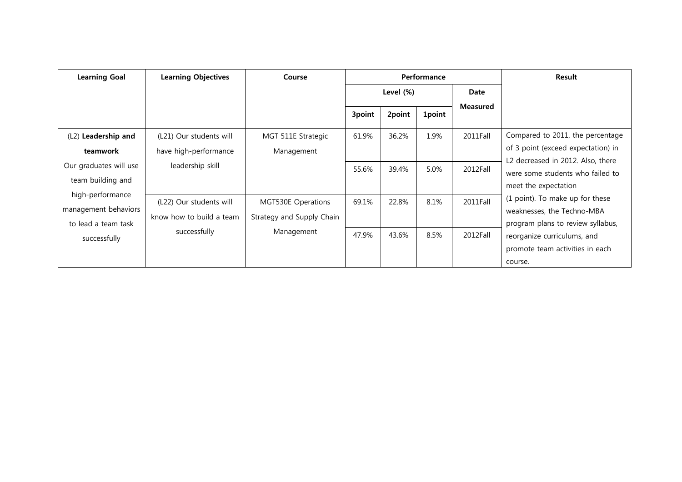| <b>Learning Goal</b>                                            | <b>Learning Objectives</b>                          | Course                                          |              |        | Performance | Result          |                                                                                                                                                                                                                                                                                                                                                            |
|-----------------------------------------------------------------|-----------------------------------------------------|-------------------------------------------------|--------------|--------|-------------|-----------------|------------------------------------------------------------------------------------------------------------------------------------------------------------------------------------------------------------------------------------------------------------------------------------------------------------------------------------------------------------|
|                                                                 |                                                     |                                                 | Level $(\%)$ |        |             | Date            |                                                                                                                                                                                                                                                                                                                                                            |
|                                                                 |                                                     |                                                 | 3point       | 2point | 1point      | <b>Measured</b> |                                                                                                                                                                                                                                                                                                                                                            |
| (L2) Leadership and<br>teamwork                                 | (L21) Our students will<br>have high-performance    | MGT 511E Strategic<br>Management                | 61.9%        | 36.2%  | 1.9%        | 2011Fall        | Compared to 2011, the percentage<br>of 3 point (exceed expectation) in<br>L2 decreased in 2012. Also, there<br>were some students who failed to<br>meet the expectation<br>(1 point). To make up for these<br>weaknesses, the Techno-MBA<br>program plans to review syllabus,<br>reorganize curriculums, and<br>promote team activities in each<br>course. |
| Our graduates will use<br>team building and                     | leadership skill                                    |                                                 | 55.6%        | 39.4%  | 5.0%        | 2012Fall        |                                                                                                                                                                                                                                                                                                                                                            |
| high-performance<br>management behaviors<br>to lead a team task | (L22) Our students will<br>know how to build a team | MGT530E Operations<br>Strategy and Supply Chain | 69.1%        | 22.8%  | 8.1%        | 2011Fall        |                                                                                                                                                                                                                                                                                                                                                            |
| successfully                                                    | successfully                                        | Management                                      | 47.9%        | 43.6%  | 8.5%        | 2012Fall        |                                                                                                                                                                                                                                                                                                                                                            |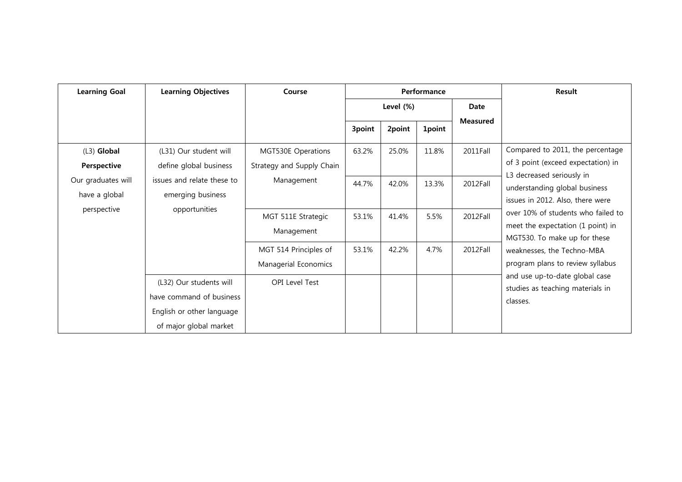| <b>Learning Goal</b>                                                                                                   | <b>Learning Objectives</b>                                                       | Course                                          | Performance |        |               |                                                                                                | Result                                                                                                                                                                    |  |
|------------------------------------------------------------------------------------------------------------------------|----------------------------------------------------------------------------------|-------------------------------------------------|-------------|--------|---------------|------------------------------------------------------------------------------------------------|---------------------------------------------------------------------------------------------------------------------------------------------------------------------------|--|
|                                                                                                                        |                                                                                  |                                                 | Level (%)   |        | Date          |                                                                                                |                                                                                                                                                                           |  |
|                                                                                                                        |                                                                                  |                                                 | 3point      | 2point | <b>1point</b> | <b>Measured</b>                                                                                |                                                                                                                                                                           |  |
| $(L3)$ Global<br>Perspective                                                                                           | (L31) Our student will<br>define global business                                 | MGT530E Operations<br>Strategy and Supply Chain | 63.2%       | 25.0%  | 11.8%         | 2011Fall                                                                                       | Compared to 2011, the percentage<br>of 3 point (exceed expectation) in                                                                                                    |  |
| Our graduates will<br>issues and relate these to<br>have a global<br>emerging business<br>opportunities<br>perspective | Management                                                                       | 44.7%                                           | 42.0%       | 13.3%  | 2012Fall      | L3 decreased seriously in<br>understanding global business<br>issues in 2012. Also, there were |                                                                                                                                                                           |  |
|                                                                                                                        |                                                                                  | MGT 511E Strategic<br>Management                | 53.1%       | 41.4%  | 5.5%          | 2012Fall                                                                                       | over 10% of students who failed to<br>meet the expectation (1 point) in<br>MGT530. To make up for these<br>weaknesses, the Techno-MBA<br>program plans to review syllabus |  |
|                                                                                                                        |                                                                                  | MGT 514 Principles of<br>Managerial Economics   | 53.1%       | 42.2%  | 4.7%          | 2012Fall                                                                                       |                                                                                                                                                                           |  |
|                                                                                                                        | (L32) Our students will<br>have command of business<br>English or other language | <b>OPI Level Test</b>                           |             |        |               | and use up-to-date global case<br>studies as teaching materials in<br>classes.                 |                                                                                                                                                                           |  |
|                                                                                                                        | of major global market                                                           |                                                 |             |        |               |                                                                                                |                                                                                                                                                                           |  |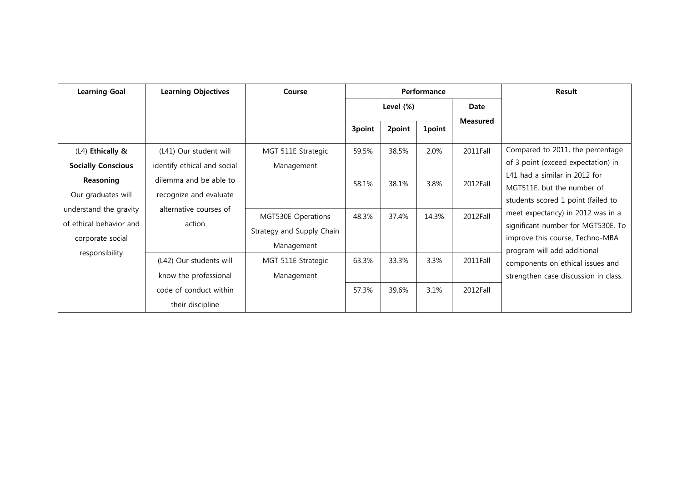| <b>Learning Goal</b>                                                                    | <b>Learning Objectives</b>                            | Course                                                        | Performance |        |               |                 | Result                                                                                                                                                                                                                                                                                                                   |
|-----------------------------------------------------------------------------------------|-------------------------------------------------------|---------------------------------------------------------------|-------------|--------|---------------|-----------------|--------------------------------------------------------------------------------------------------------------------------------------------------------------------------------------------------------------------------------------------------------------------------------------------------------------------------|
|                                                                                         |                                                       |                                                               | Level (%)   |        |               | Date            |                                                                                                                                                                                                                                                                                                                          |
|                                                                                         |                                                       |                                                               | 3point      | 2point | <b>1point</b> | <b>Measured</b> |                                                                                                                                                                                                                                                                                                                          |
| (L4) Ethically &<br><b>Socially Conscious</b>                                           | (L41) Our student will<br>identify ethical and social | MGT 511E Strategic<br>Management                              | 59.5%       | 38.5%  | 2.0%          | 2011Fall        | Compared to 2011, the percentage<br>of 3 point (exceed expectation) in<br>L41 had a similar in 2012 for<br>MGT511E, but the number of<br>students scored 1 point (failed to<br>meet expectancy) in 2012 was in a<br>significant number for MGT530E. To<br>improve this course, Techno-MBA<br>program will add additional |
| Reasoning<br>Our graduates will                                                         | dilemma and be able to<br>recognize and evaluate      |                                                               | 58.1%       | 38.1%  | 3.8%          | 2012Fall        |                                                                                                                                                                                                                                                                                                                          |
| understand the gravity<br>of ethical behavior and<br>corporate social<br>responsibility | alternative courses of<br>action                      | MGT530E Operations<br>Strategy and Supply Chain<br>Management | 48.3%       | 37.4%  | 14.3%         | 2012Fall        |                                                                                                                                                                                                                                                                                                                          |
|                                                                                         | (L42) Our students will<br>know the professional      | MGT 511E Strategic<br>Management                              | 63.3%       | 33.3%  | 3.3%          | 2011Fall        | components on ethical issues and<br>strengthen case discussion in class.                                                                                                                                                                                                                                                 |
|                                                                                         | code of conduct within<br>their discipline            |                                                               | 57.3%       | 39.6%  | 3.1%          | 2012Fall        |                                                                                                                                                                                                                                                                                                                          |